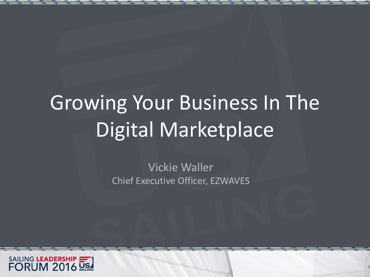# Growing Your Business In The Digital Marketplace

Vickie Waller Chief Executive Officer, EZWAVES

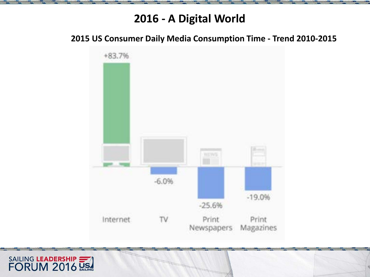### **2016 - A Digital World**

**2015 US Consumer Daily Media Consumption Time - Trend 2010-2015**



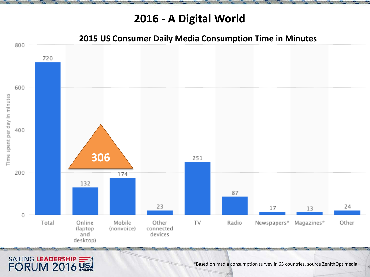**2016 - A Digital World**



SAILING LEADERSHIP

\*Based on media consumption survey in 65 countries, source ZenithOptimedia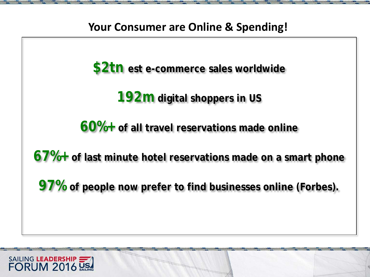

**\$2tn est e-commerce sales worldwide**

**192m digital shoppers in US**

**60%+ of all travel reservations made online**

**67%+ of last minute hotel reservations made on a smart phone**

**97% of people now prefer to find businesses online (Forbes).**

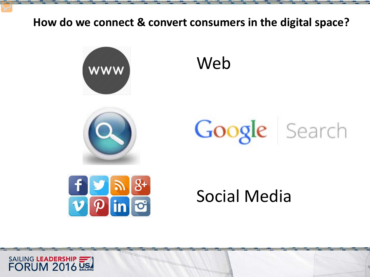### **How do we connect & convert consumers in the digital space?**





Web

# Google Search



# Social Media

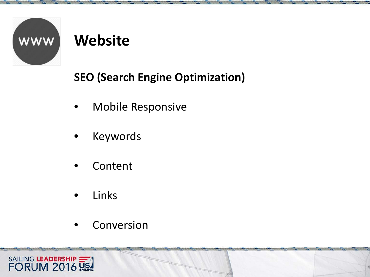

## **Website**

### **SEO (Search Engine Optimization)**

- Mobile Responsive
- Keywords
- Content
- Links
- Conversion

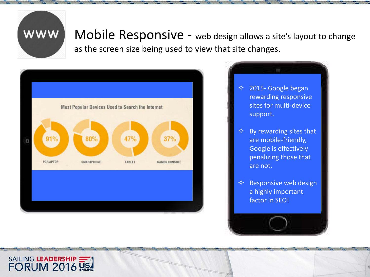

Mobile Responsive - web design allows a site's layout to change as the screen size being used to view that site changes.



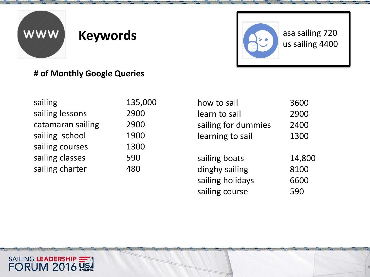

### **Keywords**



### **# of Monthly Google Queries**

| sailing           | 135,000 |
|-------------------|---------|
| sailing lessons   | 2900    |
| catamaran sailing | 2900    |
| sailing school    | 1900    |
| sailing courses   | 1300    |
| sailing classes   | 590     |
| sailing charter   | 480     |
|                   |         |

| how to sail         | 3600   |
|---------------------|--------|
| learn to sail       | 2900   |
| sailing for dummies | 2400   |
| learning to sail    | 1300   |
|                     |        |
| sailing boats       | 14,800 |
| dinghy sailing      | 8100   |
| sailing holidays    | 6600   |
| sailing course      | 590    |

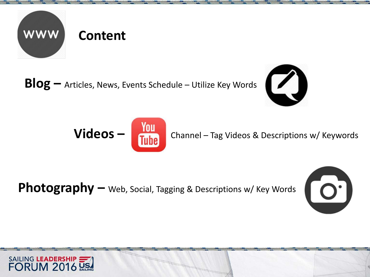

**Blog –** Articles, News, Events Schedule – Utilize Key Words





Photography – Web, Social, Tagging & Descriptions w/ Key Words



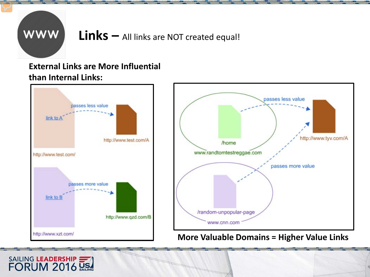

SAILING LEADERSHIP

### **Links –** All links are NOT created equal!

### **External Links are More Influential than Internal Links:**

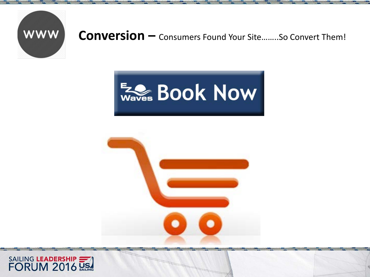

### Conversion - Consumers Found Your Site........So Convert Them!





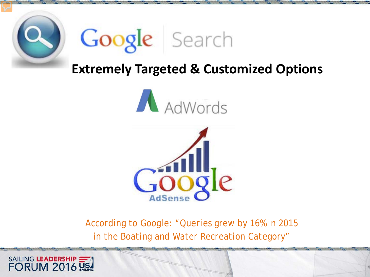



### **Extremely Targeted & Customized Options**





*According to Google: "Queries grew by 16% in 2015 in the Boating and Water Recreation Category"*

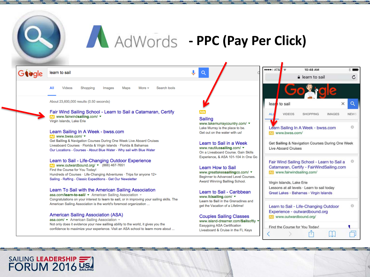

# AdWords - PPC (Pay Per Click)

 $\bullet$  $Q$ 

Giode learn to sail

> All More y Search tools Videos Shopping Images Maps

About 23,600,000 results (0.50 seconds)

#### Fair Wind Sailing School - Learn to Sail a Catamaran, Certify AG www.fairwindsailing.com/ v Virgin Islands, Lake Erie

#### Learn Sailing In A Week - bwss.com

Ad www.bwss.com/ v Get Sailing & Navigation Courses During One Week Live Aboard Cruises Liveaboard Courses · Florida & Virgin Islands · Florida & Bahamas Our Locations - Courses - About Blue Water - Why sail with Blue Water

#### Learn to Sail - Life-Changing Outdoor Experience

 $\sim$  www.outwardbound.org/  $\sqrt{(866)}$  467-7651 Find the Course for You Today! Hundreds of Courses · Life-Changing Adventures · Trips for anyone 12+ Sailing - Rafting - Classic Expeditions - Get Our Newsletter

#### Learn To Sail with the American Sailing Association

asa.com/learn-to-sail/ • American Sailing Association • Congratulations on your interest to learn to sail, or in improving your sailing skills. The American Sailing Association is the world's foremost organization ...

#### **American Sailing Association (ASA)**

SAILING LEADERSHIP

asa.com/ ▼ American Sailing Association ▼ Not only does it evidence your new sailing ability to the world, it gives you the confidence to maximize your experience. Visit an ASA school to learn more about ...

**Sailing** www.lakemurraycountry.com/ ▼ Lake Murray is the place to be. Get out on the water with us!

Learn to Sail in a Week www.nautilussailing.com/ v On a Liveaboard Course, Gain Skills Experience, & ASA 101-104 In One Go

Learn How to Sail www.greatlakessailingco.com/ ▼ Beginner to Advanced Level Courses. Award Winning Sailing School.

Learn to Sail - Caribbean www.ltdsailing.com/▼ Learn to Sail in the Grenadines and get the Vacation of a Lifetime!

**Couples Sailing Classes** www.island-dreamer.com/Sailsoftly **Easygoing ASA Certification** Liveaboard & Cruise in the FL Kevs

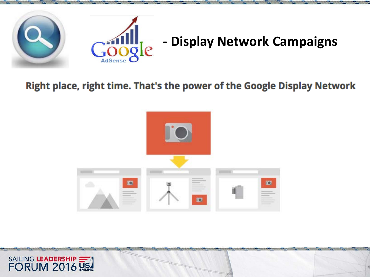

### **- Display Network Campaigns**

### Right place, right time. That's the power of the Google Display Network



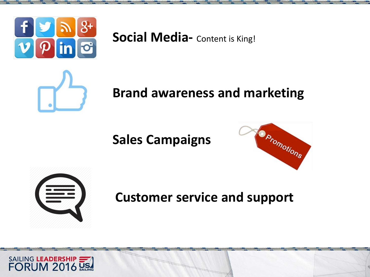

**Social Media-** Content is King!



### **Brand awareness and marketing**

**Sales Campaigns**





**Customer service and support**

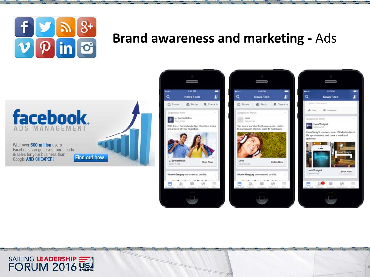

SAILING LEADERSHIP

### **Brand awareness and marketing -** Ads







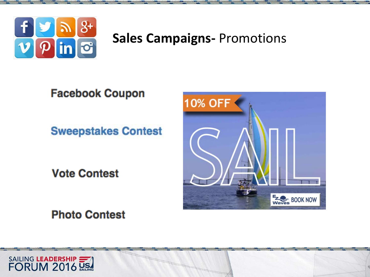

### **Sales Campaigns- Promotions**

**Facebook Coupon** 

**Sweepstakes Contest** 

**Vote Contest** 

**Photo Contest** 



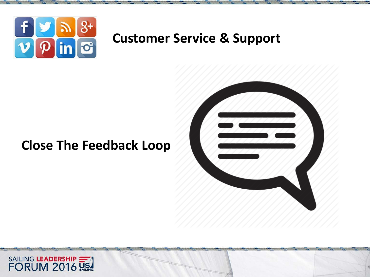

### **Customer Service & Support**

### **Close The Feedback Loop**